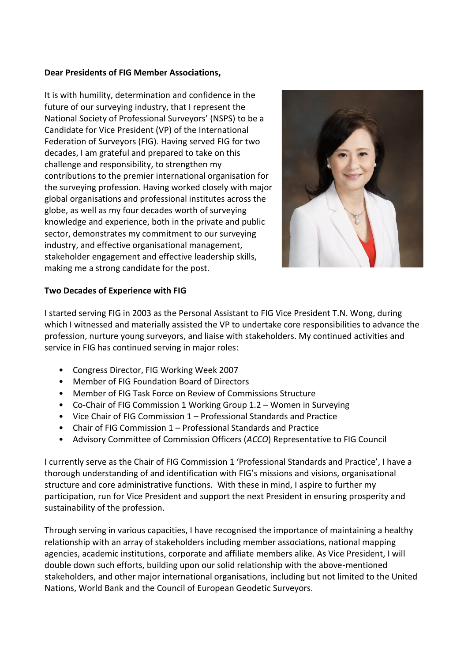## **Dear Presidents of FIG Member Associations,**

It is with humility, determination and confidence in the future of our surveying industry, that I represent the National Society of Professional Surveyors' (NSPS) to be a Candidate for Vice President (VP) of the International Federation of Surveyors (FIG). Having served FIG for two decades, I am grateful and prepared to take on this challenge and responsibility, to strengthen my contributions to the premier international organisation for the surveying profession. Having worked closely with major global organisations and professional institutes across the globe, as well as my four decades worth of surveying knowledge and experience, both in the private and public sector, demonstrates my commitment to our surveying industry, and effective organisational management, stakeholder engagement and effective leadership skills, making me a strong candidate for the post.



## **Two Decades of Experience with FIG**

I started serving FIG in 2003 as the Personal Assistant to FIG Vice President T.N. Wong, during which I witnessed and materially assisted the VP to undertake core responsibilities to advance the profession, nurture young surveyors, and liaise with stakeholders. My continued activities and service in FIG has continued serving in major roles:

- Congress Director, FIG Working Week 2007
- Member of FIG Foundation Board of Directors
- Member of FIG Task Force on Review of Commissions Structure
- Co-Chair of FIG Commission 1 Working Group 1.2 Women in Surveying
- Vice Chair of FIG Commission 1 Professional Standards and Practice
- Chair of FIG Commission 1 Professional Standards and Practice
- Advisory Committee of Commission Officers (*ACCO*) Representative to FIG Council

I currently serve as the Chair of FIG Commission 1 'Professional Standards and Practice', I have a thorough understanding of and identification with FIG's missions and visions, organisational structure and core administrative functions. With these in mind, I aspire to further my participation, run for Vice President and support the next President in ensuring prosperity and sustainability of the profession.

Through serving in various capacities, I have recognised the importance of maintaining a healthy relationship with an array of stakeholders including member associations, national mapping agencies, academic institutions, corporate and affiliate members alike. As Vice President, I will double down such efforts, building upon our solid relationship with the above-mentioned stakeholders, and other major international organisations, including but not limited to the United Nations, World Bank and the Council of European Geodetic Surveyors.